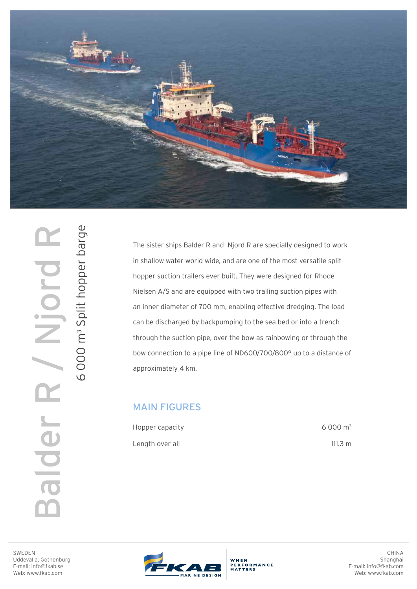

SWEDEN<br>BUGGEVALA, Gothenbur<br>E-mail: info@fkab.se<br>Web: www.fkab.com Ujord alder R

6 000 m3 Split hopper barge

6000 m<sup>3</sup> Split hopper barge

The sister ships Balder R and Njord R are specially designed to work in shallow water world wide, and are one of the most versatile split hopper suction trailers ever built. They were designed for Rhode Nielsen A/S and are equipped with two trailing suction pipes with an inner diameter of 700 mm, enabling effective dredging. The load can be discharged by backpumping to the sea bed or into a trench through the suction pipe, over the bow as rainbowing or through the bow connection to a pipe line of ND600/700/800° up to a distance of approximately 4 km.

## MAIN FIGURES

| Hopper capacity |  |
|-----------------|--|
| Length over all |  |

6 000 m3 111.3 m